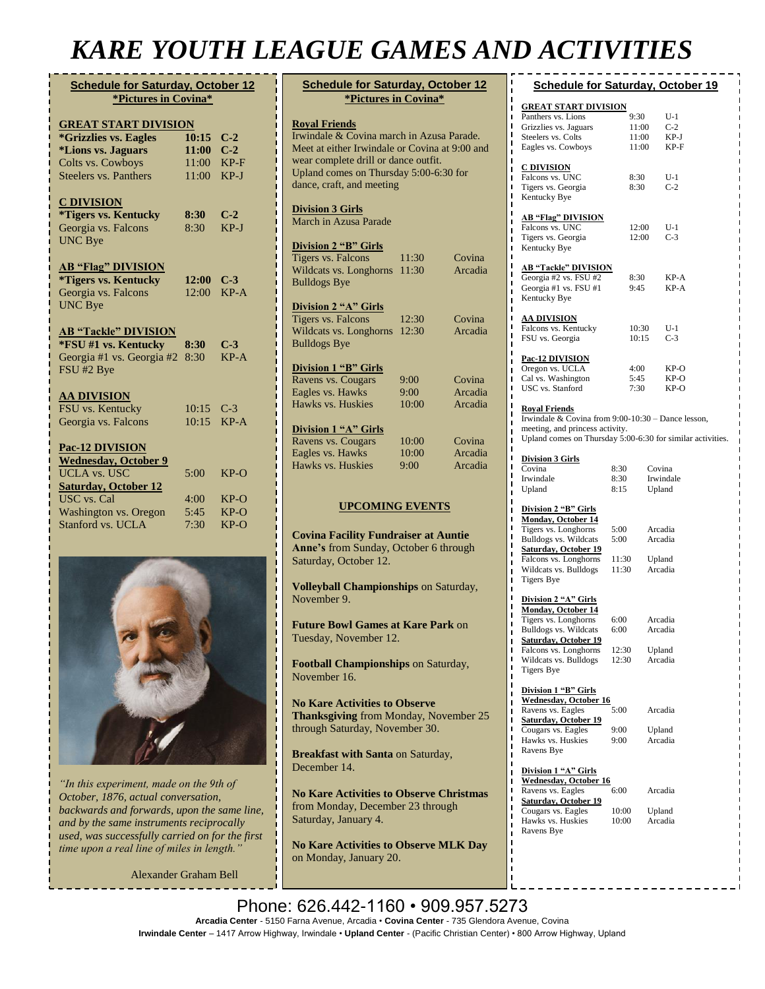# *KARE YOUTH LEAGUE GAMES AND ACTIVITIES*

| <b>Schedule for Saturday, October 12</b><br>*Pictures in Covina* |       |        |  |  |  |
|------------------------------------------------------------------|-------|--------|--|--|--|
| <b>GREAT START DIVISION</b>                                      |       |        |  |  |  |
| <i><b>*Grizzlies vs. Eagles</b></i>                              | 10:15 | $C-2$  |  |  |  |
| <i><b>*Lions vs. Jaguars</b></i>                                 | 11:00 | $C-2$  |  |  |  |
| Colts vs. Cowboys                                                | 11:00 | $KP-F$ |  |  |  |
| <b>Steelers vs. Panthers</b>                                     | 11:00 | $KP-J$ |  |  |  |
| <b>C DIVISION</b>                                                |       |        |  |  |  |
| <i>*Tigers vs. Kentucky</i>                                      | 8:30  | $C-2$  |  |  |  |
| Georgia vs. Falcons                                              | 8:30  | $KP-J$ |  |  |  |
| <b>UNC Bye</b>                                                   |       |        |  |  |  |
| <b>AB "Flag" DIVISION</b>                                        |       |        |  |  |  |
| <i><b>*Tigers vs. Kentucky</b></i>                               | 12:00 | $C-3$  |  |  |  |
| Georgia vs. Falcons                                              | 12:00 | $KP-A$ |  |  |  |
| <b>UNC Bye</b>                                                   |       |        |  |  |  |
| <b>AB "Tackle" DIVISION</b>                                      |       |        |  |  |  |
| *FSU #1 vs. Kentucky                                             | 8:30  | $C-3$  |  |  |  |
| Georgia #1 vs. Georgia #2                                        | 8:30  | $KP-A$ |  |  |  |
| FSU #2 Bye                                                       |       |        |  |  |  |
| <b>AA DIVISION</b>                                               |       |        |  |  |  |
| FSU vs. Kentucky                                                 | 10:15 | $C-3$  |  |  |  |
| Georgia vs. Falcons                                              | 10:15 | $KP-A$ |  |  |  |
| Pac-12 DIVISION                                                  |       |        |  |  |  |
| <b>Wednesday, October 9</b>                                      |       |        |  |  |  |
| <b>UCLA vs. USC</b>                                              | 5:00  | $KP-O$ |  |  |  |
| <b>Saturday, October 12</b>                                      |       |        |  |  |  |
| USC vs. Cal                                                      | 4:00  | $KP-O$ |  |  |  |
| Washington vs. Oregon                                            | 5:45  | $KP-O$ |  |  |  |
| Stanford vs. UCLA                                                | 7:30  | $KP-O$ |  |  |  |
|                                                                  |       |        |  |  |  |



*"In this experiment, made on the 9th of October, 1876, actual conversation, backwards and forwards, upon the same line, and by the same instruments reciprocally used, was successfully carried on for the first time upon a real line of miles in length."*

[Alexander Graham Bell](https://www.brainyquote.com/authors/alexander-graham-bell-quotes)

| <b>Schedule for Saturday, October 12</b><br>*Pictures in Covina*                                                                                                                                                                   |       |         |  |  |  |
|------------------------------------------------------------------------------------------------------------------------------------------------------------------------------------------------------------------------------------|-------|---------|--|--|--|
| <b>Royal Friends</b><br>Irwindale & Covina march in Azusa Parade.<br>Meet at either Irwindale or Covina at 9:00 and<br>wear complete drill or dance outfit.<br>Upland comes on Thursday 5:00-6:30 for<br>dance, craft, and meeting |       |         |  |  |  |
| <b>Division 3 Girls</b>                                                                                                                                                                                                            |       |         |  |  |  |
| March in Azusa Parade                                                                                                                                                                                                              |       |         |  |  |  |
| <b>Division 2 "B" Girls</b>                                                                                                                                                                                                        |       |         |  |  |  |
| Tigers vs. Falcons                                                                                                                                                                                                                 | 11:30 | Covina  |  |  |  |
| Wildcats vs. Longhorns                                                                                                                                                                                                             | 11:30 | Arcadia |  |  |  |
| <b>Bulldogs Bye</b>                                                                                                                                                                                                                |       |         |  |  |  |
| Division 2 "A" Girls                                                                                                                                                                                                               |       |         |  |  |  |
| Tigers vs. Falcons                                                                                                                                                                                                                 | 12:30 | Covina  |  |  |  |
| Wildcats vs. Longhorns                                                                                                                                                                                                             | 12:30 | Arcadia |  |  |  |
| <b>Bulldogs Bye</b>                                                                                                                                                                                                                |       |         |  |  |  |
| Division 1 "B" Girls                                                                                                                                                                                                               |       |         |  |  |  |
| Ravens vs. Cougars                                                                                                                                                                                                                 | 9:00  | Covina  |  |  |  |
| Eagles vs. Hawks                                                                                                                                                                                                                   | 9:00  | Arcadia |  |  |  |
| Hawks vs. Huskies                                                                                                                                                                                                                  | 10:00 | Arcadia |  |  |  |
| Division 1 "A" Girls                                                                                                                                                                                                               |       |         |  |  |  |
| Ravens vs. Cougars                                                                                                                                                                                                                 | 10:00 | Covina  |  |  |  |
| Eagles vs. Hawks                                                                                                                                                                                                                   | 10:00 | Arcadia |  |  |  |
| Hawks vs. Huskies                                                                                                                                                                                                                  | 9:00  | Arcadia |  |  |  |
| <b>UPCOMING EVENTS</b>                                                                                                                                                                                                             |       |         |  |  |  |

### **UPCOMING EVENTS**

**Covina Facility Fundraiser at Auntie Anne's** from Sunday, October 6 through Saturday, October 12.

**Volleyball Championships** on Saturday, November 9.

**Future Bowl Games at Kare Park** on Tuesday, November 12.

**Football Championships** on Saturday, November 16.

**No Kare Activities to Observe Thanksgiving** from Monday, November 25 through Saturday, November 30.

**Breakfast with Santa** on Saturday, December 14.

**No Kare Activities to Observe Christmas** from Monday, December 23 through Saturday, January 4.

**No Kare Activities to Observe MLK Day** on Monday, January 20.

| <b>Schedule for Saturday, October 19</b>                   |                |                |                     |  |
|------------------------------------------------------------|----------------|----------------|---------------------|--|
| <u>GREAT START DIVISION</u>                                |                |                |                     |  |
| Panthers vs. Lions                                         | 9:30           |                | U-1<br>$C-2$        |  |
| Grizzlies vs. Jaguars<br>Steelers vs. Colts                |                | 11:00<br>11:00 | KP-J                |  |
| Eagles vs. Cowboys                                         |                | 11:00          | $KP-F$              |  |
| <u>C DIVISION</u>                                          |                |                |                     |  |
| Falcons vs. UNC                                            | 8:30           |                | U-1                 |  |
| Tigers vs. Georgia                                         | 8:30           |                | $C-2$               |  |
| Kentucky Bye                                               |                |                |                     |  |
| <b>AB "Flag" DIVISION</b>                                  |                |                |                     |  |
| Falcons vs. UNC                                            |                | 12:00          | U-1                 |  |
| Tigers vs. Georgia<br>Kentucky Bye                         |                | 12:00          | $C-3$               |  |
|                                                            |                |                |                     |  |
| <b>AB "Tackle" DIVISION</b>                                |                |                |                     |  |
| Georgia #2 vs. FSU #2<br>Georgia #1 vs. FSU #1             | 8:30<br>9:45   |                | KP-A<br>KP-A        |  |
| Kentucky Bye                                               |                |                |                     |  |
|                                                            |                |                |                     |  |
| <u>AA DIVISION</u><br>Falcons vs. Kentucky                 |                | 10:30          | U-1                 |  |
| FSU vs. Georgia                                            |                | 10:15          | $C-3$               |  |
|                                                            |                |                |                     |  |
| <u>Pac-12 DIVISION</u><br>Oregon vs. UCLA                  | 4:00           |                | KP-O                |  |
| Cal vs. Washington                                         | 5:45           |                | KP-O                |  |
| USC vs. Stanford                                           | 7:30           |                | $KP-O$              |  |
| <b>Royal Friends</b>                                       |                |                |                     |  |
| Irwindale & Covina from 9:00-10:30 - Dance lesson,         |                |                |                     |  |
| meeting, and princess activity.                            |                |                |                     |  |
| Upland comes on Thursday 5:00-6:30 for similar activities. |                |                |                     |  |
| <u>Division 3 Girls</u>                                    |                |                |                     |  |
| Covina                                                     | 8:30           |                | Covina              |  |
| Irwindale<br>Upland                                        | 8:30<br>8:15   |                | Irwindale<br>Upland |  |
|                                                            |                |                |                     |  |
| Division 2 "B" Girls                                       |                |                |                     |  |
| <b>Monday, October 14</b><br>Tigers vs. Longhorns          | 5:00           |                | Arcadia             |  |
| <b>Bulldogs vs. Wildcats</b>                               | 5:00           |                | Arcadia             |  |
| <b>Saturday</b> , October 19                               |                |                |                     |  |
| Falcons vs. Longhorns<br>Wildcats vs. Bulldogs             | 11:30<br>11:30 |                | Upland<br>Arcadia   |  |
| <b>Tigers Bye</b>                                          |                |                |                     |  |
|                                                            |                |                |                     |  |
| Division 2 "A" Girls<br><b>Monday, October 14</b>          |                |                |                     |  |
| Tigers vs. Longhorns                                       | 6:00           |                | Arcadia             |  |
| Bulldogs vs. Wildcats                                      | 6:00           |                | Arcadia             |  |
| <b>Saturday, October 19</b><br>Falcons vs. Longhorns       | 12:30          |                | Upland              |  |
| Wildcats vs. Bulldogs                                      | 12:30          |                | Arcadia             |  |
| Tigers Bye                                                 |                |                |                     |  |
| Division 1 "B" Girls                                       |                |                |                     |  |
| <b>Wednesday</b> , October 16                              |                |                |                     |  |
| Ravens vs. Eagles                                          | 5:00           |                | Arcadia             |  |
| Saturday, October 19<br>Cougars vs. Eagles                 | 9:00           |                | Upland              |  |
| Hawks vs. Huskies                                          | 9:00           |                | Arcadia             |  |
| Ravens Bye                                                 |                |                |                     |  |
| Division 1 "A" Girls                                       |                |                |                     |  |
| <b>Wednesday</b> , October 16                              |                |                |                     |  |
| Ravens vs. Eagles<br><b>Saturday, October 19</b>           | 6:00           |                | Arcadia             |  |
| Cougars vs. Eagles                                         | 10:00          |                | Upland              |  |
| Hawks vs. Huskies                                          | 10:00          |                | Arcadia             |  |
| Ravens Bye                                                 |                |                |                     |  |

#### Phone: 626.442-1160 · 909.957.5273 **Arcadia Center** - 5150 Farna Avenue, Arcadia • **Covina Center** - 735 Glendora Avenue, Covina **Irwindale Center** – 1417 Arrow Highway, Irwindale • **Upland Center** - (Pacific Christian Center) • 800 Arrow Highway, Upland  $020.442 - 110$